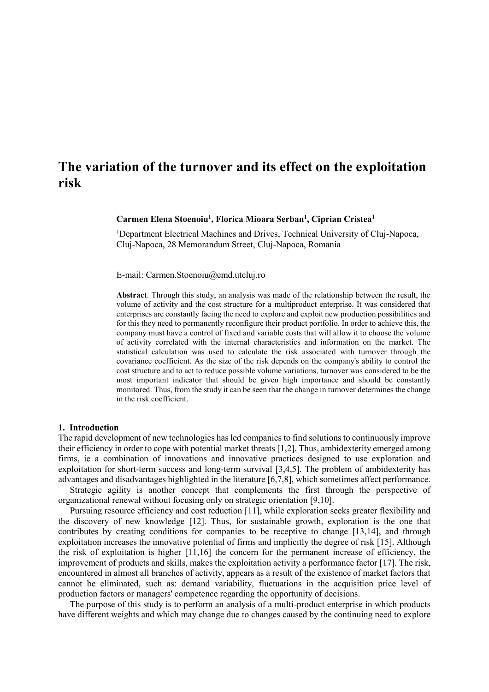# **The variation of the turnover and its effect on the exploitation risk**

### **Carmen Elena Stoenoiu<sup>1</sup> , Florica Mioara Serban<sup>1</sup> , Ciprian Cristea<sup>1</sup>**

<sup>1</sup>Department Electrical Machines and Drives, Technical University of Cluj-Napoca, Cluj-Napoca, 28 Memorandum Street, Cluj-Napoca, Romania

E-mail: Carmen.Stoenoiu@emd.utcluj.ro

**Abstract**. Through this study, an analysis was made of the relationship between the result, the volume of activity and the cost structure for a multiproduct enterprise. It was considered that enterprises are constantly facing the need to explore and exploit new production possibilities and for this they need to permanently reconfigure their product portfolio. In order to achieve this, the company must have a control of fixed and variable costs that will allow it to choose the volume of activity correlated with the internal characteristics and information on the market. The statistical calculation was used to calculate the risk associated with turnover through the covariance coefficient. As the size of the risk depends on the company's ability to control the cost structure and to act to reduce possible volume variations, turnover was considered to be the most important indicator that should be given high importance and should be constantly monitored. Thus, from the study it can be seen that the change in turnover determines the change in the risk coefficient.

#### **1. Introduction**

The rapid development of new technologies has led companies to find solutions to continuously improve their efficiency in order to cope with potential market threats [1,2]. Thus, ambidexterity emerged among firms, ie a combination of innovations and innovative practices designed to use exploration and exploitation for short-term success and long-term survival [3,4,5]. The problem of ambidexterity has advantages and disadvantages highlighted in the literature [6,7,8], which sometimes affect performance.

Strategic agility is another concept that complements the first through the perspective of organizational renewal without focusing only on strategic orientation [9,10].

Pursuing resource efficiency and cost reduction [11], while exploration seeks greater flexibility and the discovery of new knowledge [12]. Thus, for sustainable growth, exploration is the one that contributes by creating conditions for companies to be receptive to change [13,14], and through exploitation increases the innovative potential of firms and implicitly the degree of risk [15]. Although the risk of exploitation is higher [11,16] the concern for the permanent increase of efficiency, the improvement of products and skills, makes the exploitation activity a performance factor [17]. The risk, encountered in almost all branches of activity, appears as a result of the existence of market factors that cannot be eliminated, such as: demand variability, fluctuations in the acquisition price level of production factors or managers' competence regarding the opportunity of decisions.

The purpose of this study is to perform an analysis of a multi-product enterprise in which products have different weights and which may change due to changes caused by the continuing need to explore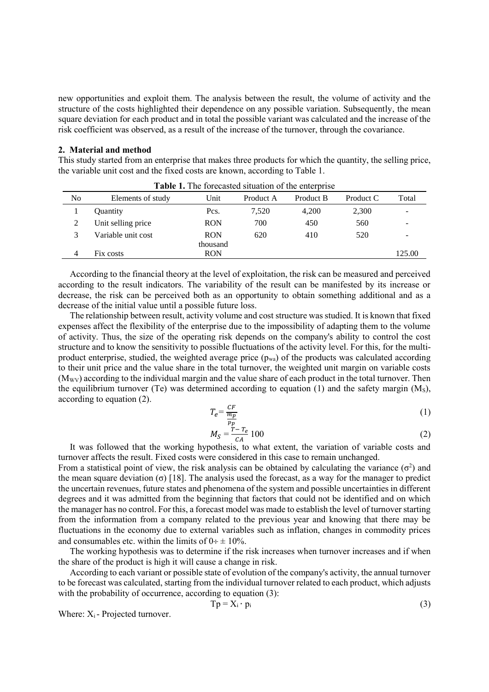new opportunities and exploit them. The analysis between the result, the volume of activity and the structure of the costs highlighted their dependence on any possible variation. Subsequently, the mean square deviation for each product and in total the possible variant was calculated and the increase of the risk coefficient was observed, as a result of the increase of the turnover, through the covariance.

#### **2. Material and method**

This study started from an enterprise that makes three products for which the quantity, the selling price, the variable unit cost and the fixed costs are known, according to Table 1.

|    | <b>Table 1.</b> The forecasted shuation of the emerbitse |            |           |           |           |        |  |  |  |
|----|----------------------------------------------------------|------------|-----------|-----------|-----------|--------|--|--|--|
| No | Elements of study                                        | Unit       | Product A | Product B | Product C | Total  |  |  |  |
|    | Quantity                                                 | Pcs.       | 7.520     | 4.200     | 2,300     | -      |  |  |  |
|    | Unit selling price                                       | <b>RON</b> | 700       | 450       | 560       | ۰      |  |  |  |
|    | Variable unit cost                                       | <b>RON</b> | 620       | 410       | 520       | ۰      |  |  |  |
|    |                                                          | thousand   |           |           |           |        |  |  |  |
| 4  | Fix costs                                                | <b>RON</b> |           |           |           | 125.00 |  |  |  |

**Table 1.** The forecasted situation of the enterprise

According to the financial theory at the level of exploitation, the risk can be measured and perceived according to the result indicators. The variability of the result can be manifested by its increase or decrease, the risk can be perceived both as an opportunity to obtain something additional and as a decrease of the initial value until a possible future loss.

The relationship between result, activity volume and cost structure was studied. It is known that fixed expenses affect the flexibility of the enterprise due to the impossibility of adapting them to the volume of activity. Thus, the size of the operating risk depends on the company's ability to control the cost structure and to know the sensitivity to possible fluctuations of the activity level. For this, for the multiproduct enterprise, studied, the weighted average price  $(p_{wa})$  of the products was calculated according to their unit price and the value share in the total turnover, the weighted unit margin on variable costs  $(M_{\rm WV})$  according to the individual margin and the value share of each product in the total turnover. Then the equilibrium turnover (Te) was determined according to equation (1) and the safety margin  $(M_s)$ , according to equation (2).

$$
T_e = \frac{CF}{\frac{m_p}{p_n}}\tag{1}
$$

$$
M_S = \frac{\dot{r} - r_e}{cA} \cdot 100\tag{2}
$$

It was followed that the working hypothesis, to what extent, the variation of variable costs and turnover affects the result. Fixed costs were considered in this case to remain unchanged.

From a statistical point of view, the risk analysis can be obtained by calculating the variance  $(\sigma^2)$  and the mean square deviation (σ) [18]. The analysis used the forecast, as a way for the manager to predict the uncertain revenues, future states and phenomena of the system and possible uncertainties in different degrees and it was admitted from the beginning that factors that could not be identified and on which the manager has no control. For this, a forecast model was made to establish the level of turnover starting from the information from a company related to the previous year and knowing that there may be fluctuations in the economy due to external variables such as inflation, changes in commodity prices and consumables etc. within the limits of  $0 \div \pm 10\%$ .

The working hypothesis was to determine if the risk increases when turnover increases and if when the share of the product is high it will cause a change in risk.

According to each variant or possible state of evolution of the company's activity, the annual turnover to be forecast was calculated, starting from the individual turnover related to each product, which adjusts with the probability of occurrence, according to equation (3):

$$
Tp = X_i \cdot p_i \tag{3}
$$

Where:  $X_i$ - Projected turnover.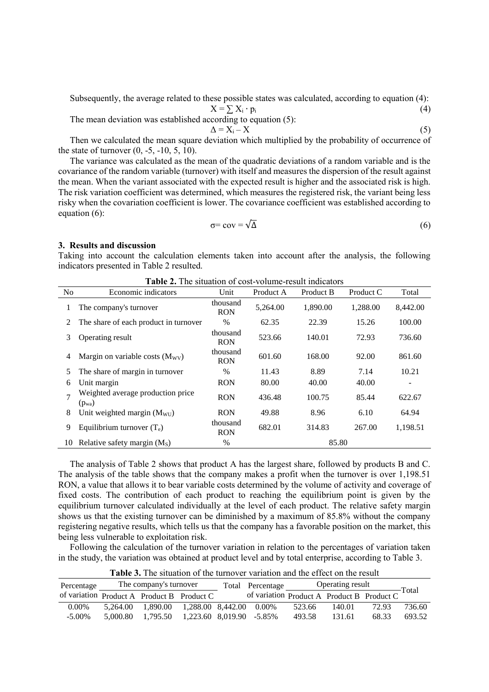Subsequently, the average related to these possible states was calculated, according to equation (4):  $X = \sum X_i \cdot p_i$  (4)

The mean deviation was established according to equation (5):

$$
\Delta = X_i - X \tag{5}
$$

Then we calculated the mean square deviation which multiplied by the probability of occurrence of the state of turnover  $(0, -5, -10, 5, 10)$ .

The variance was calculated as the mean of the quadratic deviations of a random variable and is the covariance of the random variable (turnover) with itself and measures the dispersion of the result against the mean. When the variant associated with the expected result is higher and the associated risk is high. The risk variation coefficient was determined, which measures the registered risk, the variant being less risky when the covariation coefficient is lower. The covariance coefficient was established according to equation (6):

$$
\sigma = \text{cov} = \sqrt{\Delta} \tag{6}
$$

#### **3. Results and discussion**

Taking into account the calculation elements taken into account after the analysis, the following indicators presented in Table 2 resulted.

| No | <b>Table 2.</b> The shualibit of cost-volume-result indicators<br>Economic indicators | Unit                   | Product A | Product B | Product C | Total    |
|----|---------------------------------------------------------------------------------------|------------------------|-----------|-----------|-----------|----------|
| 1  | The company's turnover                                                                | thousand<br><b>RON</b> | 5,264.00  | 1,890.00  | 1,288.00  | 8,442.00 |
| 2  | The share of each product in turnover                                                 | $\frac{0}{0}$          | 62.35     | 22.39     | 15.26     | 100.00   |
| 3  | Operating result                                                                      | thousand<br><b>RON</b> | 523.66    | 140.01    | 72.93     | 736.60   |
| 4  | Margin on variable costs $(M_{\rm WV})$                                               | thousand<br><b>RON</b> | 601.60    | 168.00    | 92.00     | 861.60   |
| 5  | The share of margin in turnover                                                       | $\frac{0}{0}$          | 11.43     | 8.89      | 7.14      | 10.21    |
| 6  | Unit margin                                                                           | <b>RON</b>             | 80.00     | 40.00     | 40.00     |          |
| 7  | Weighted average production price<br>$(p_{wa})$                                       | <b>RON</b>             | 436.48    | 100.75    | 85.44     | 622.67   |
| 8  | Unit weighted margin $(M_{\text{WU}})$                                                | <b>RON</b>             | 49.88     | 8.96      | 6.10      | 64.94    |
| 9  | Equilibrium turnover $(T_e)$                                                          | thousand<br><b>RON</b> | 682.01    | 314.83    | 267.00    | 1,198.51 |
| 10 | Relative safety margin $(MS)$                                                         | $\%$                   |           | 85.80     |           |          |

**Table 2.** The situation of cost-volume-result indicators

The analysis of Table 2 shows that product A has the largest share, followed by products B and C. The analysis of the table shows that the company makes a profit when the turnover is over 1,198.51 RON, a value that allows it to bear variable costs determined by the volume of activity and coverage of fixed costs. The contribution of each product to reaching the equilibrium point is given by the equilibrium turnover calculated individually at the level of each product. The relative safety margin shows us that the existing turnover can be diminished by a maximum of 85.8% without the company registering negative results, which tells us that the company has a favorable position on the market, this being less vulnerable to exploitation risk.

Following the calculation of the turnover variation in relation to the percentages of variation taken in the study, the variation was obtained at product level and by total enterprise, according to Table 3.

| Percentage                                 | The company's turnover |          | Total Percentage        |                                            | Operating result |        | Total |        |
|--------------------------------------------|------------------------|----------|-------------------------|--------------------------------------------|------------------|--------|-------|--------|
| of variation Product A Product B Product C |                        |          |                         | of variation Product A Product B Product C |                  |        |       |        |
| $0.00\%$                                   | 5.264.00               | 1.890.00 | 1,288.00 8,442.00 0.00% |                                            | 523.66           | 140.01 | 72.93 | 736.60 |
| $-5.00\%$                                  | 5.000.80               | 1,795.50 |                         | 1,223.60 8,019.90 -5.85%                   | 493.58           | 131.61 | 68.33 | 693.52 |

**Table 3.** The situation of the turnover variation and the effect on the result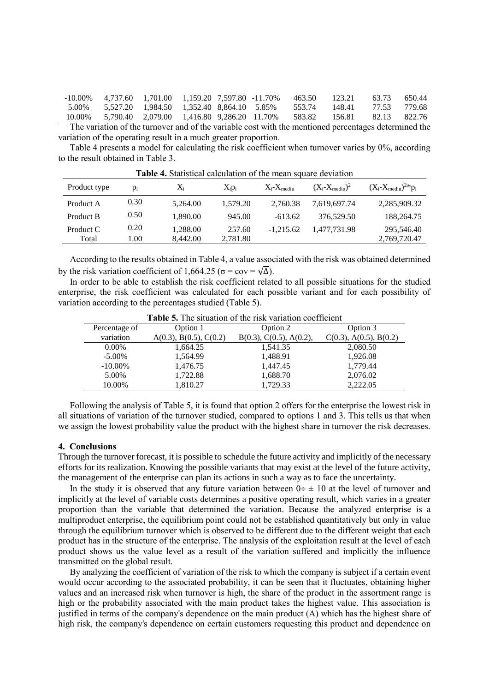|         |                                                 |  |  | 10.00% 5.790.40 2.079.00 1.416.80 9.286.20 11.70% 583.82 156.81 | 82.13 822.76 |        |
|---------|-------------------------------------------------|--|--|-----------------------------------------------------------------|--------------|--------|
| 5.00%   | 5,527.20 1,984.50 1,352.40 8,864.10 5.85%       |  |  | 553.74 148.41 77.53 779.68                                      |              |        |
| -10.00% | 4,737.60  1,701.00  1,159.20  7,597.80  -11.70% |  |  | 463.50 123.21                                                   | 63.73        | 650.44 |

The variation of the turnover and of the variable cost with the mentioned percentages determined the variation of the operating result in a much greater proportion.

Table 4 presents a model for calculating the risk coefficient when turnover varies by 0%, according to the result obtained in Table 3.

| Product type | $p_i$ | $X_i$    | $X_i p_i$ | $X_i$ - $X_{\text{medium}}$ | $(X_i-X_{\text{medium}})^2$ | $(X_i-X_{\text{medium}})^{2*}p_i$ |
|--------------|-------|----------|-----------|-----------------------------|-----------------------------|-----------------------------------|
| Product A    | 0.30  | 5,264.00 | 1.579.20  | 2,760.38                    | 7,619,697.74                | 2,285,909.32                      |
| Product B    | 0.50  | 1.890.00 | 945.00    | $-613.62$                   | 376,529.50                  | 188,264.75                        |
| Product C    | 0.20  | 1,288.00 | 257.60    | $-1,215.62$                 | 1.477.731.98                | 295,546.40                        |
| Total        | 1.00  | 8,442.00 | 2,781.80  |                             |                             | 2,769,720.47                      |

**Table 4.** Statistical calculation of the mean square deviation

According to the results obtained in Table 4, a value associated with the risk was obtained determined by the risk variation coefficient of 1,664.25 ( $\sigma$  = cov =  $\sqrt{\Delta}$ ).

In order to be able to establish the risk coefficient related to all possible situations for the studied enterprise, the risk coefficient was calculated for each possible variant and for each possibility of variation according to the percentages studied (Table 5).

| <b>Table 5.</b> The situation of the risk variation coefficient |                        |                         |                                  |  |  |  |  |
|-----------------------------------------------------------------|------------------------|-------------------------|----------------------------------|--|--|--|--|
| Percentage of                                                   | Option 1               | Option 2                | Option 3                         |  |  |  |  |
| variation                                                       | A(0.3), B(0.5), C(0.2) | B(0.3), C(0.5), A(0.2), | $C(0.3)$ , A $(0.5)$ , B $(0.2)$ |  |  |  |  |
| $0.00\%$                                                        | 1,664.25               | 1,541.35                | 2,080.50                         |  |  |  |  |
| $-5.00\%$                                                       | 1,564.99               | 1,488.91                | 1,926.08                         |  |  |  |  |
| $-10.00\%$                                                      | 1,476.75               | 1,447.45                | 1,779.44                         |  |  |  |  |
| 5.00%                                                           | 1,722.88               | 1,688.70                | 2,076.02                         |  |  |  |  |
| 10.00%                                                          | 1,810.27               | 1,729.33                | 2,222.05                         |  |  |  |  |

Following the analysis of Table 5, it is found that option 2 offers for the enterprise the lowest risk in all situations of variation of the turnover studied, compared to options 1 and 3. This tells us that when we assign the lowest probability value the product with the highest share in turnover the risk decreases.

#### **4. Conclusions**

Through the turnover forecast, it is possible to schedule the future activity and implicitly of the necessary efforts for its realization. Knowing the possible variants that may exist at the level of the future activity, the management of the enterprise can plan its actions in such a way as to face the uncertainty.

In the study it is observed that any future variation between  $0 \div \pm 10$  at the level of turnover and implicitly at the level of variable costs determines a positive operating result, which varies in a greater proportion than the variable that determined the variation. Because the analyzed enterprise is a multiproduct enterprise, the equilibrium point could not be established quantitatively but only in value through the equilibrium turnover which is observed to be different due to the different weight that each product has in the structure of the enterprise. The analysis of the exploitation result at the level of each product shows us the value level as a result of the variation suffered and implicitly the influence transmitted on the global result.

By analyzing the coefficient of variation of the risk to which the company is subject if a certain event would occur according to the associated probability, it can be seen that it fluctuates, obtaining higher values and an increased risk when turnover is high, the share of the product in the assortment range is high or the probability associated with the main product takes the highest value. This association is justified in terms of the company's dependence on the main product (A) which has the highest share of high risk, the company's dependence on certain customers requesting this product and dependence on